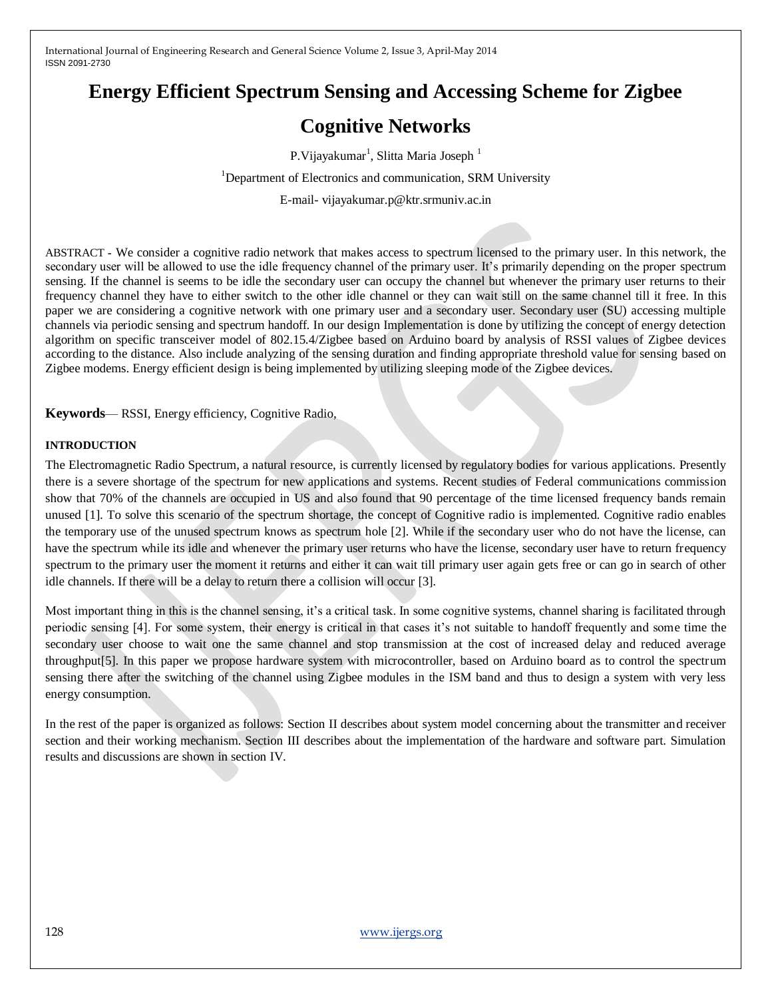# **Energy Efficient Spectrum Sensing and Accessing Scheme for Zigbee**

# **Cognitive Networks**

P.Vijayakumar<sup>1</sup>, Slitta Maria Joseph<sup>1</sup>

<sup>1</sup>Department of Electronics and communication, SRM University

E-mail- vijayakumar.p@ktr.srmuniv.ac.in

ABSTRACT **-** We consider a cognitive radio network that makes access to spectrum licensed to the primary user. In this network, the secondary user will be allowed to use the idle frequency channel of the primary user. It's primarily depending on the proper spectrum sensing. If the channel is seems to be idle the secondary user can occupy the channel but whenever the primary user returns to their frequency channel they have to either switch to the other idle channel or they can wait still on the same channel till it free. In this paper we are considering a cognitive network with one primary user and a secondary user. Secondary user (SU) accessing multiple channels via periodic sensing and spectrum handoff. In our design Implementation is done by utilizing the concept of energy detection algorithm on specific transceiver model of 802.15.4/Zigbee based on Arduino board by analysis of RSSI values of Zigbee devices according to the distance. Also include analyzing of the sensing duration and finding appropriate threshold value for sensing based on Zigbee modems. Energy efficient design is being implemented by utilizing sleeping mode of the Zigbee devices.

**Keywords**— RSSI, Energy efficiency, Cognitive Radio,

#### **INTRODUCTION**

The Electromagnetic Radio Spectrum, a natural resource, is currently licensed by regulatory bodies for various applications. Presently there is a severe shortage of the spectrum for new applications and systems. Recent studies of Federal communications commission show that 70% of the channels are occupied in US and also found that 90 percentage of the time licensed frequency bands remain unused [1]. To solve this scenario of the spectrum shortage, the concept of Cognitive radio is implemented. Cognitive radio enables the temporary use of the unused spectrum knows as spectrum hole [2]. While if the secondary user who do not have the license, can have the spectrum while its idle and whenever the primary user returns who have the license, secondary user have to return frequency spectrum to the primary user the moment it returns and either it can wait till primary user again gets free or can go in search of other idle channels. If there will be a delay to return there a collision will occur [3].

Most important thing in this is the channel sensing, it's a critical task. In some cognitive systems, channel sharing is facilitated through periodic sensing [4]. For some system, their energy is critical in that cases it's not suitable to handoff frequently and some time the secondary user choose to wait one the same channel and stop transmission at the cost of increased delay and reduced average throughput[5]. In this paper we propose hardware system with microcontroller, based on Arduino board as to control the spectrum sensing there after the switching of the channel using Zigbee modules in the ISM band and thus to design a system with very less energy consumption.

In the rest of the paper is organized as follows: Section II describes about system model concerning about the transmitter and receiver section and their working mechanism. Section III describes about the implementation of the hardware and software part. Simulation results and discussions are shown in section IV.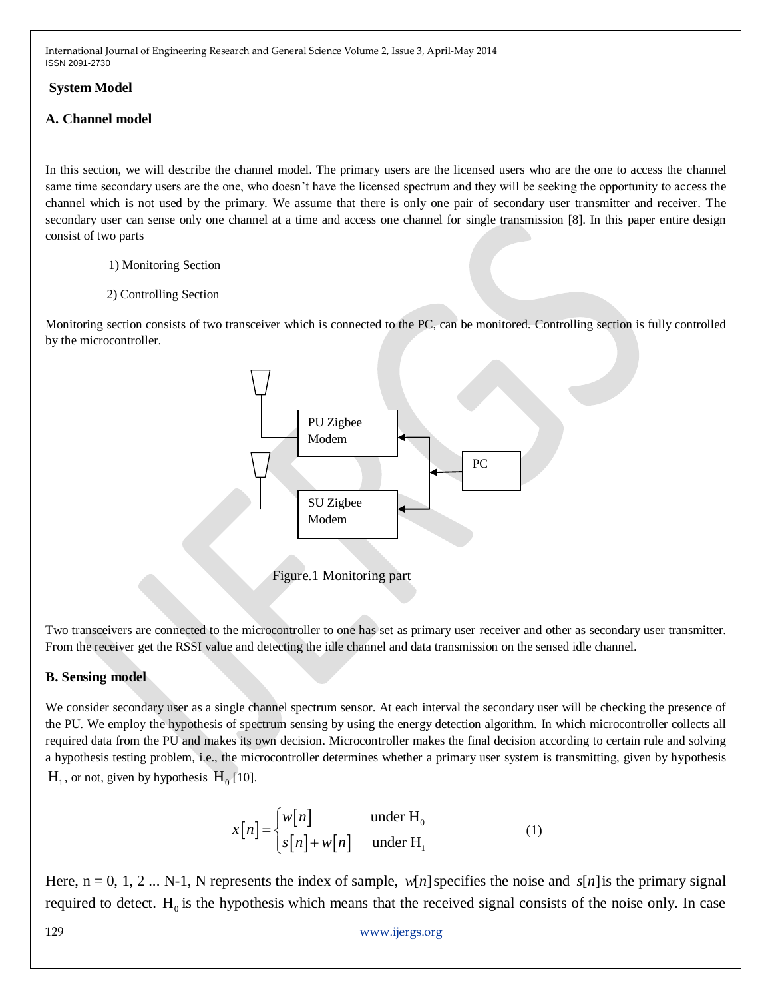#### **System Model**

#### **A. Channel model**

In this section, we will describe the channel model. The primary users are the licensed users who are the one to access the channel same time secondary users are the one, who doesn't have the licensed spectrum and they will be seeking the opportunity to access the channel which is not used by the primary. We assume that there is only one pair of secondary user transmitter and receiver. The secondary user can sense only one channel at a time and access one channel for single transmission [8]. In this paper entire design consist of two parts

- 1) Monitoring Section
- 2) Controlling Section

Monitoring section consists of two transceiver which is connected to the PC, can be monitored. Controlling section is fully controlled by the microcontroller.



Figure.1 Monitoring part

Two transceivers are connected to the microcontroller to one has set as primary user receiver and other as secondary user transmitter. From the receiver get the RSSI value and detecting the idle channel and data transmission on the sensed idle channel.

# **B. Sensing model**

We consider secondary user as a single channel spectrum sensor. At each interval the secondary user will be checking the presence of the PU. We employ the hypothesis of spectrum sensing by using the energy detection algorithm. In which microcontroller collects all required data from the PU and makes its own decision. Microcontroller makes the final decision according to certain rule and solving a hypothesis testing problem, i.e., the microcontroller determines whether a primary user system is transmitting, given by hypothesis  $H_1$ , or not, given by hypothesis  $H_0$  [10].

$$
x[n] = \begin{cases} w[n] & \text{under } H_0 \\ s[n] + w[n] & \text{under } H_1 \end{cases}
$$
 (1)

Here,  $n = 0, 1, 2 ... N-1$ , N represents the index of sample,  $w[n]$  specifies the noise and  $s[n]$  is the primary signal required to detect.  $H_0$  is the hypothesis which means that the received signal consists of the noise only. In case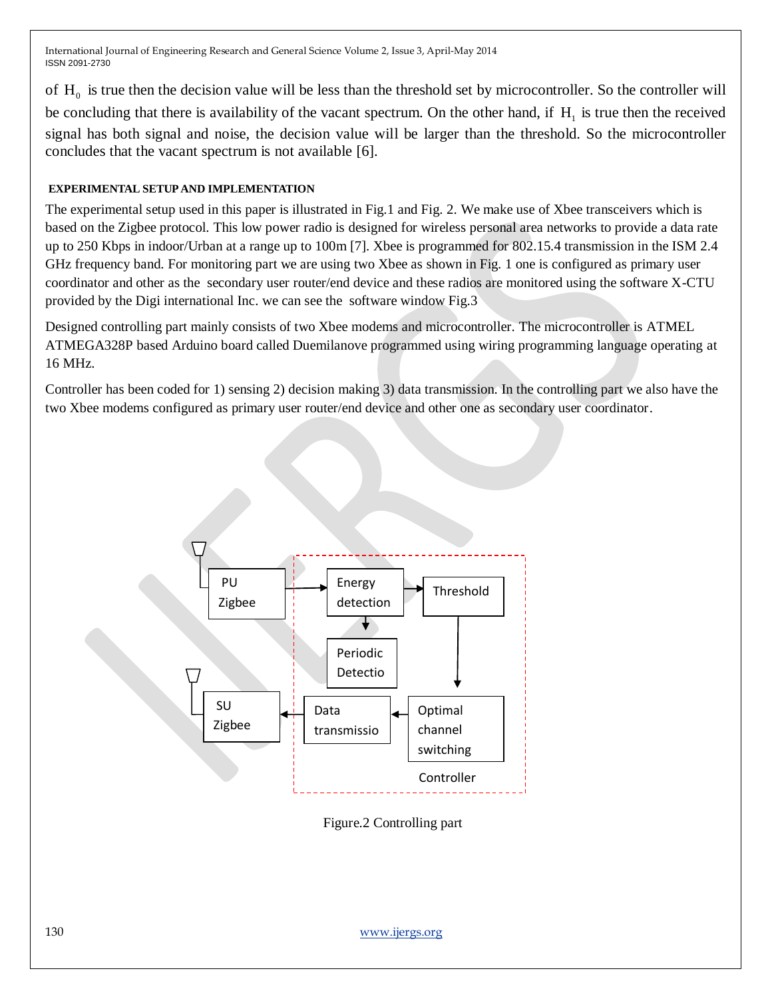of  $H_0$  is true then the decision value will be less than the threshold set by microcontroller. So the controller will be concluding that there is availability of the vacant spectrum. On the other hand, if  $H_1$  is true then the received signal has both signal and noise, the decision value will be larger than the threshold. So the microcontroller concludes that the vacant spectrum is not available [6].

# **EXPERIMENTAL SETUP AND IMPLEMENTATION**

The experimental setup used in this paper is illustrated in Fig.1 and Fig. 2. We make use of Xbee transceivers which is based on the Zigbee protocol. This low power radio is designed for wireless personal area networks to provide a data rate up to 250 Kbps in indoor/Urban at a range up to 100m [7]. Xbee is programmed for 802.15.4 transmission in the ISM 2.4 GHz frequency band. For monitoring part we are using two Xbee as shown in Fig. 1 one is configured as primary user coordinator and other as the secondary user router/end device and these radios are monitored using the software X-CTU provided by the Digi international Inc. we can see the software window Fig.3

Designed controlling part mainly consists of two Xbee modems and microcontroller. The microcontroller is ATMEL ATMEGA328P based Arduino board called Duemilanove programmed using wiring programming language operating at 16 MHz.

Controller has been coded for 1) sensing 2) decision making 3) data transmission. In the controlling part we also have the two Xbee modems configured as primary user router/end device and other one as secondary user coordinator.



Figure.2 Controlling part

130 [www.ijergs.org](http://www.ijergs.org/)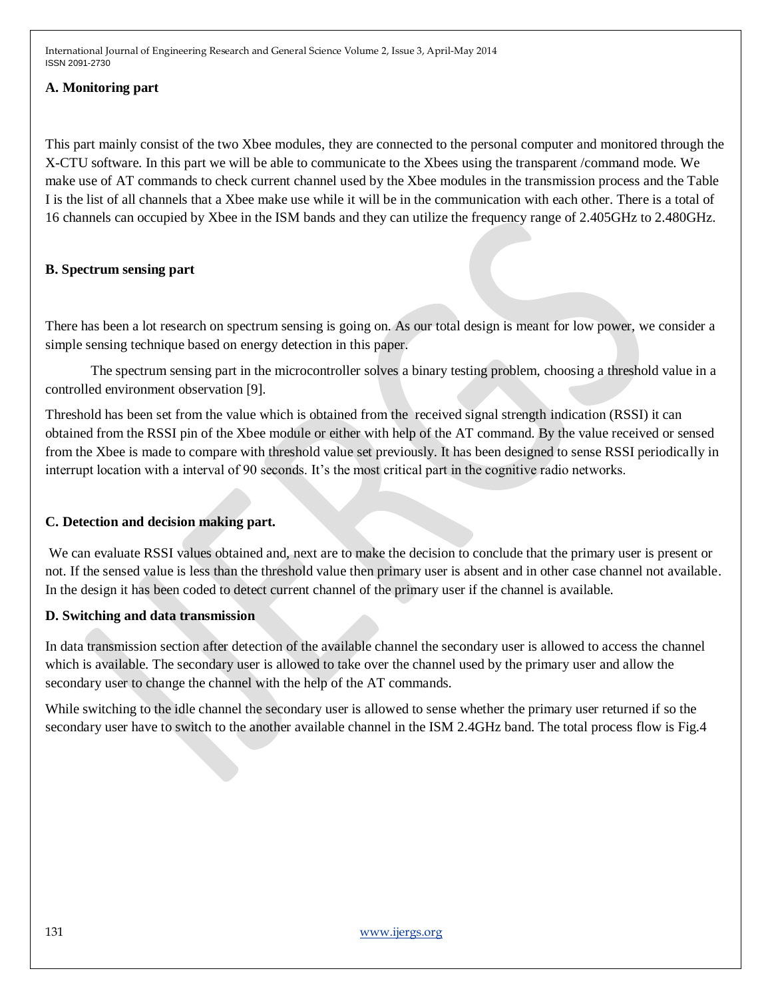#### **A. Monitoring part**

This part mainly consist of the two Xbee modules, they are connected to the personal computer and monitored through the X-CTU software. In this part we will be able to communicate to the Xbees using the transparent /command mode. We make use of AT commands to check current channel used by the Xbee modules in the transmission process and the Table I is the list of all channels that a Xbee make use while it will be in the communication with each other. There is a total of 16 channels can occupied by Xbee in the ISM bands and they can utilize the frequency range of 2.405GHz to 2.480GHz.

# **B. Spectrum sensing part**

There has been a lot research on spectrum sensing is going on. As our total design is meant for low power, we consider a simple sensing technique based on energy detection in this paper.

The spectrum sensing part in the microcontroller solves a binary testing problem, choosing a threshold value in a controlled environment observation [9].

Threshold has been set from the value which is obtained from the received signal strength indication (RSSI) it can obtained from the RSSI pin of the Xbee module or either with help of the AT command. By the value received or sensed from the Xbee is made to compare with threshold value set previously. It has been designed to sense RSSI periodically in interrupt location with a interval of 90 seconds. It's the most critical part in the cognitive radio networks.

# **C. Detection and decision making part.**

We can evaluate RSSI values obtained and, next are to make the decision to conclude that the primary user is present or not. If the sensed value is less than the threshold value then primary user is absent and in other case channel not available. In the design it has been coded to detect current channel of the primary user if the channel is available.

# **D. Switching and data transmission**

In data transmission section after detection of the available channel the secondary user is allowed to access the channel which is available. The secondary user is allowed to take over the channel used by the primary user and allow the secondary user to change the channel with the help of the AT commands.

While switching to the idle channel the secondary user is allowed to sense whether the primary user returned if so the secondary user have to switch to the another available channel in the ISM 2.4GHz band. The total process flow is Fig.4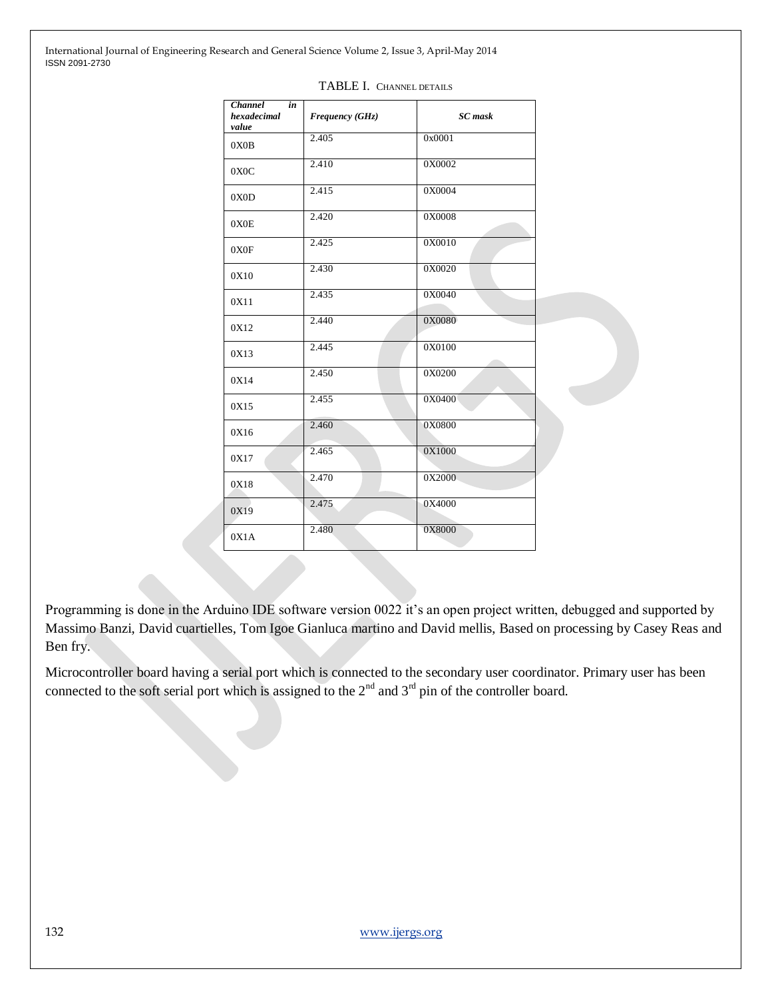| <b>Channel</b><br>in<br>hexadecimal<br>value | Frequency (GHz) | <b>SC</b> mask |
|----------------------------------------------|-----------------|----------------|
| 0X0B                                         | 2.405           | 0x0001         |
| 0X0C                                         | 2.410           | 0X0002         |
| 0X0D                                         | 2.415           | 0X0004         |
| 0X0E                                         | 2.420           | 0X0008         |
| 0X0F                                         | 2.425           | 0X0010         |
| 0X10                                         | 2.430           | 0X0020         |
| 0X11                                         | 2.435           | 0X0040         |
| 0X12                                         | 2.440           | 0X0080         |
| 0X13                                         | 2.445           | 0X0100         |
| 0X14                                         | 2.450           | 0X0200         |
| 0X15                                         | 2.455           | 0X0400         |
| 0X16                                         | 2.460           | 0X0800         |
| 0X17                                         | 2.465           | 0X1000         |
| 0X18                                         | 2.470           | 0X2000         |
| 0X19                                         | 2.475           | 0X4000         |
| 0X1A                                         | 2.480           | 0X8000         |

#### TABLE I. CHANNEL DETAILS

Programming is done in the Arduino IDE software version 0022 it's an open project written, debugged and supported by Massimo Banzi, David cuartielles, Tom Igoe Gianluca martino and David mellis, Based on processing by Casey Reas and Ben fry.

Microcontroller board having a serial port which is connected to the secondary user coordinator. Primary user has been connected to the soft serial port which is assigned to the  $2<sup>nd</sup>$  and  $3<sup>rd</sup>$  pin of the controller board.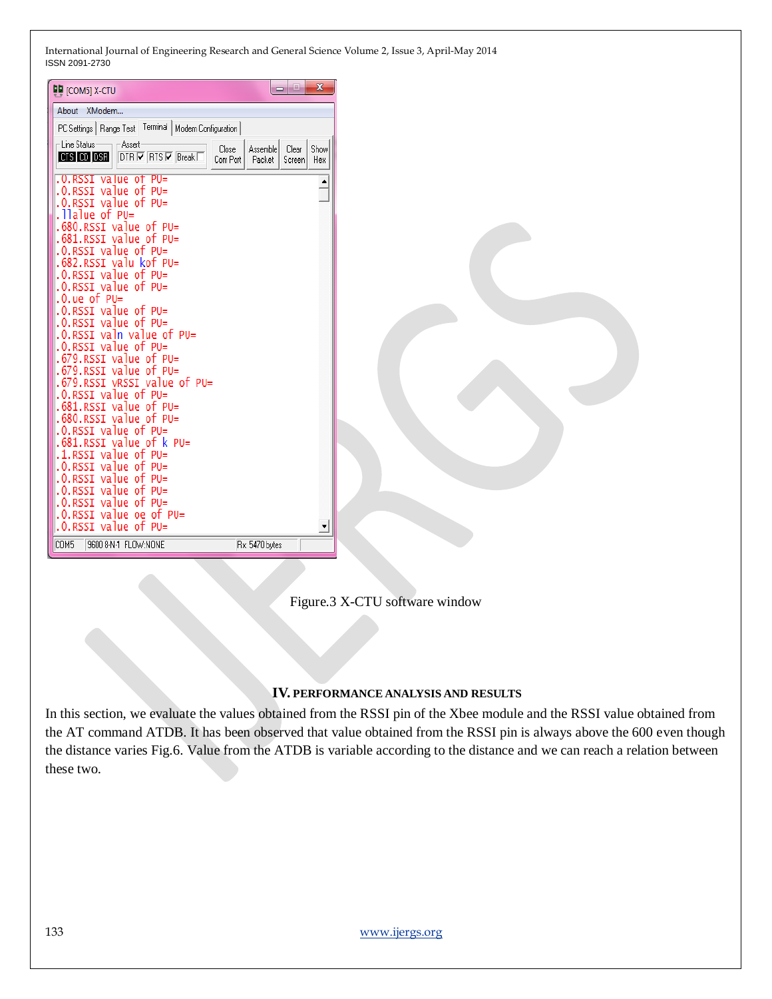| <b>DU</b> [COM5] X-CTU                                    | $\mathbf{x}$<br>التاري                                   |  |
|-----------------------------------------------------------|----------------------------------------------------------|--|
| About XModem                                              |                                                          |  |
| PC Settings   Range Test   Terminal   Modem Configuration |                                                          |  |
| $\sqsubset$ Line Status:<br>-Assert                       | Close<br>Show                                            |  |
| CTS CD DSR<br>$DTR \nabla RTS \nabla Break$               | Assemble<br>Clear<br>Com Port<br>Packet<br>Screen<br>Hex |  |
| .0.RSSI value of PU=                                      |                                                          |  |
| .0.RSSI value of PU=                                      | $\triangleq$                                             |  |
| .0.RSSI value of PU=                                      |                                                          |  |
| .llalue of PU=                                            |                                                          |  |
| .680.RSSI value of PU=<br>.RSSI value of PU=              |                                                          |  |
| RSSI value of $PU=$<br>. 0.                               |                                                          |  |
| .682.RSSI valu kof PU=                                    |                                                          |  |
| .0.RSSI value of PU=                                      |                                                          |  |
| $.0.RSSI$ value of PU=                                    |                                                          |  |
| $.0.ue$ of PU=                                            |                                                          |  |
| .0.RSSI value of PU=<br>$.0.RSSI$ value of PU=            |                                                          |  |
| .0.RSSI valn value of PU=                                 |                                                          |  |
| RSSI value of PU=                                         |                                                          |  |
| value of PU=                                              |                                                          |  |
| RSSI value of $PU=$                                       |                                                          |  |
| $vRSST$ value of PU=                                      |                                                          |  |
| RSSI value of PU=<br>RSSI value of $PU=$                  |                                                          |  |
| value of $PU =$                                           |                                                          |  |
| RSSI value of $PU =$                                      |                                                          |  |
| .RSSI value of k PU=                                      |                                                          |  |
| RSSI value of $PU=$                                       |                                                          |  |
| .O.RSSI value of PU=<br>$PU =$<br>RSSI<br>value of        |                                                          |  |
| $PU =$<br>RSSI value of<br>.0.                            |                                                          |  |
| $.0.RSSI$ value of PU=                                    |                                                          |  |
| .0.RSSI value oe of PU=                                   |                                                          |  |
| .0.RSSI value of PU=                                      | ≛                                                        |  |
| COM <sub>5</sub><br>9600 8-N-1 FLOW:NONE                  | Rx: 5470 bytes                                           |  |
|                                                           |                                                          |  |



#### **IV. PERFORMANCE ANALYSIS AND RESULTS**

In this section, we evaluate the values obtained from the RSSI pin of the Xbee module and the RSSI value obtained from the AT command ATDB. It has been observed that value obtained from the RSSI pin is always above the 600 even though the distance varies Fig.6. Value from the ATDB is variable according to the distance and we can reach a relation between these two.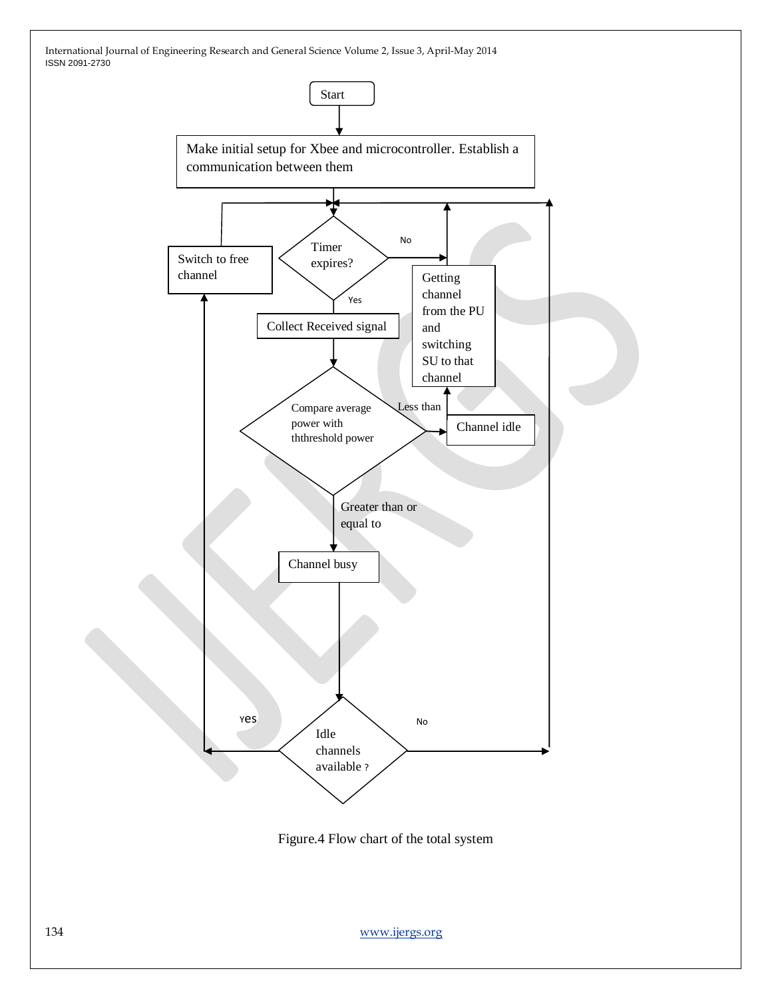

Figure.4 Flow chart of the total system

134 [www.ijergs.org](http://www.ijergs.org/)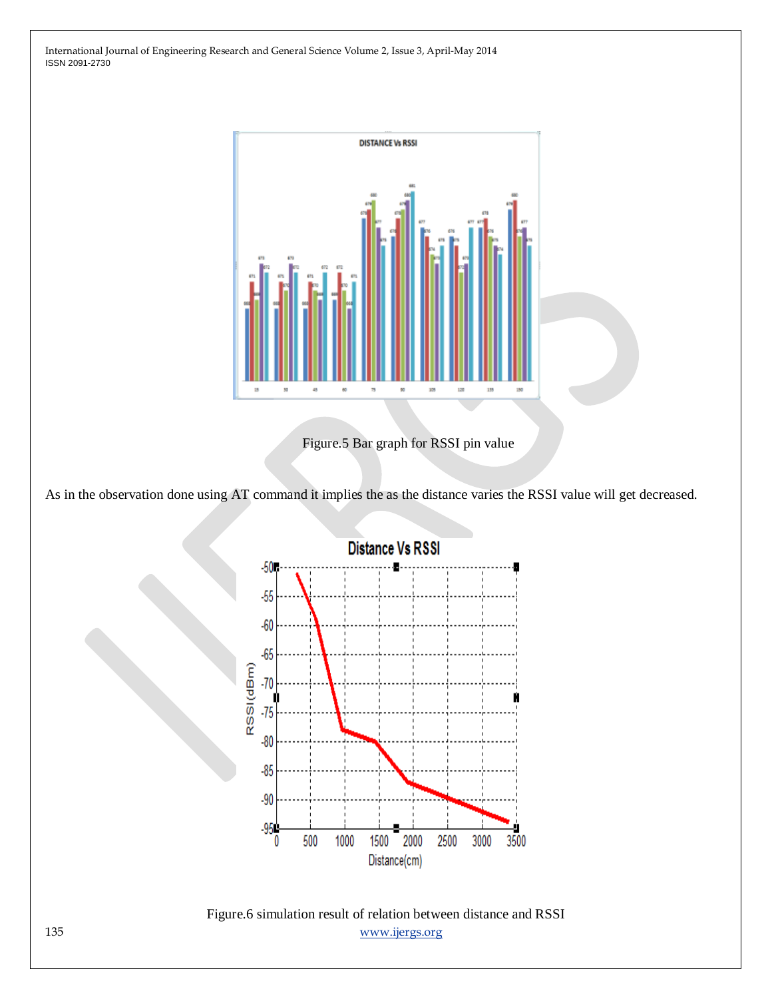

Figure.5 Bar graph for RSSI pin value

As in the observation done using AT command it implies the as the distance varies the RSSI value will get decreased.